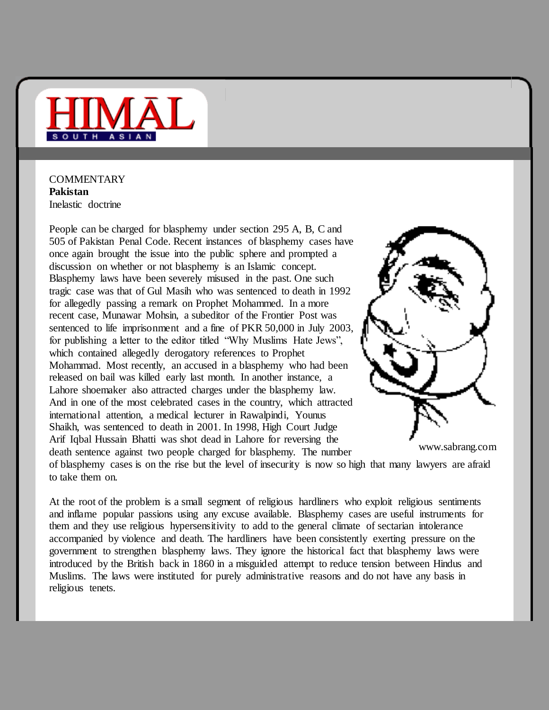

**COMMENTARY Pakistan** Inelastic doctrine

People can be charged for blasphemy under section 295 A, B, C and 505 of Pakistan Penal Code. Recent instances of blasphemy cases have once again brought the issue into the public sphere and prompted a discussion on whether or not blasphemy is an Islamic concept. Blasphemy laws have been severely misused in the past. One such tragic case was that of Gul Masih who was sentenced to death in 1992 for allegedly passing a remark on Prophet Mohammed. In a more recent case, Munawar Mohsin, a subeditor of the Frontier Post was sentenced to life imprisonment and a fine of PKR 50,000 in July 2003, for publishing a letter to the editor titled "Why Muslims Hate Jews", which contained allegedly derogatory references to Prophet Mohammad. Most recently, an accused in a blasphemy who had been released on bail was killed early last month. In another instance, a Lahore shoemaker also attracted charges under the blasphemy law. And in one of the most celebrated cases in the country, which attracted international attention, a medical lecturer in Rawalpindi, Younus Shaikh, was sentenced to death in 2001. In 1998, High Court Judge Arif Iqbal Hussain Bhatti was shot dead in Lahore for reversing the death sentence against two people charged for blasphemy. The number



www.sabrang.com

of blasphemy cases is on the rise but the level of insecurity is now so high that many lawyers are afraid to take them on.

At the root of the problem is a small segment of religious hardliners who exploit religious sentiments and inflame popular passions using any excuse available. Blasphemy cases are useful instruments for them and they use religious hypersensitivity to add to the general climate of sectarian intolerance accompanied by violence and death. The hardliners have been consistently exerting pressure on the government to strengthen blasphemy laws. They ignore the historical fact that blasphemy laws were introduced by the British back in 1860 in a misguided attempt to reduce tension between Hindus and Muslims. The laws were instituted for purely administrative reasons and do not have any basis in religious tenets.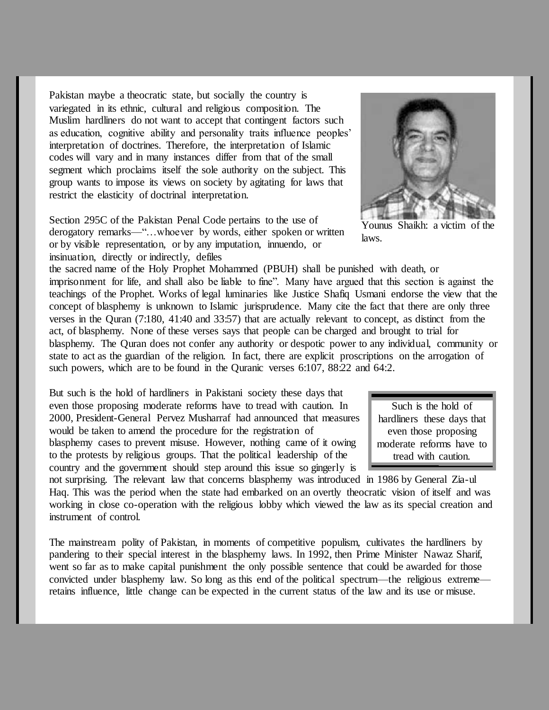Pakistan maybe a theocratic state, but socially the country is variegated in its ethnic, cultural and religious composition. The Muslim hardliners do not want to accept that contingent factors such as education, cognitive ability and personality traits influence peoples' interpretation of doctrines. Therefore, the interpretation of Islamic codes will vary and in many instances differ from that of the small segment which proclaims itself the sole authority on the subject. This group wants to impose its views on society by agitating for laws that restrict the elasticity of doctrinal interpretation.

Section 295C of the Pakistan Penal Code pertains to the use of derogatory remarks—"...whoever by words, either spoken or written or by visible representation, or by any imputation, innuendo, or insinuation, directly or indirectly, defiles

the sacred name of the Holy Prophet Mohammed (PBUH) shall be punished with death, or imprisonment for life, and shall also be liable to fine". Many have argued that this section is against the teachings of the Prophet. Works of legal luminaries like Justice Shafiq Usmani endorse the view that the concept of blasphemy is unknown to Islamic jurisprudence. Many cite the fact that there are only three verses in the Quran (7:180, 41:40 and 33:57) that are actually relevant to concept, as distinct from the act, of blasphemy. None of these verses says that people can be charged and brought to trial for blasphemy. The Quran does not confer any authority or despotic power to any individual, community or state to act as the guardian of the religion. In fact, there are explicit proscriptions on the arrogation of such powers, which are to be found in the Quranic verses 6:107, 88:22 and 64:2.

But such is the hold of hardliners in Pakistani society these days that even those proposing moderate reforms have to tread with caution. In 2000, President-General Pervez Musharraf had announced that measures would be taken to amend the procedure for the registration of blasphemy cases to prevent misuse. However, nothing came of it owing to the protests by religious groups. That the political leadership of the country and the government should step around this issue so gingerly is

not surprising. The relevant law that concerns blasphemy was introduced in 1986 by General Zia-ul Haq. This was the period when the state had embarked on an overtly theocratic vision of itself and was working in close co-operation with the religious lobby which viewed the law as its special creation and instrument of control.

The mainstream polity of Pakistan, in moments of competitive populism, cultivates the hardliners by pandering to their special interest in the blasphemy laws. In 1992, then Prime Minister Nawaz Sharif, went so far as to make capital punishment the only possible sentence that could be awarded for those convicted under blasphemy law. So long as this end of the political spectrum—the religious extreme retains influence, little change can be expected in the current status of the law and its use or misuse.

Such is the hold of hardliners these days that even those proposing moderate reforms have to tread with caution.



Younus Shaikh: a victim of laws.